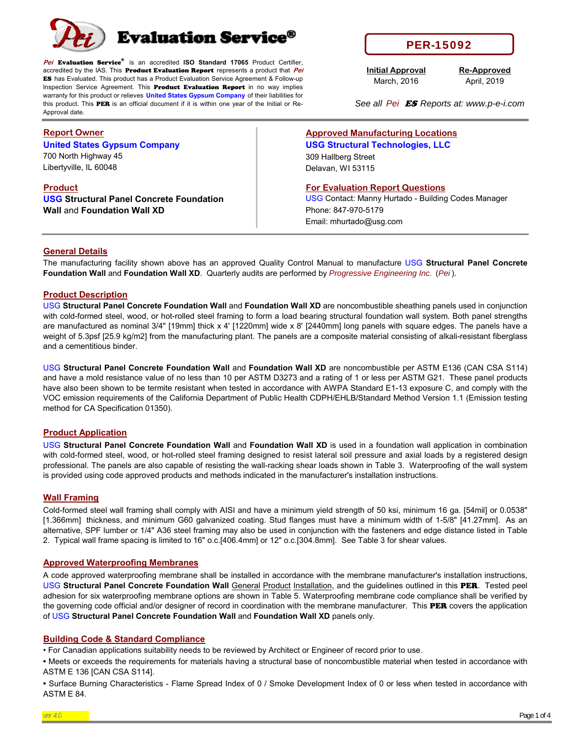

**Pei** Evaluation Service® is an accredited **ISO Standard 17065** Product Certifier, accredited by the IAS. This Product Evaluation Report represents a product that **Pei**  ES has Evaluated. This product has a Product Evaluation Service Agreement & Follow-up Inspection Service Agreement. This **Product Evaluation Report** in no way implies warranty for this product or relieves **United States Gypsum Company** of their liabilities for this product. This PER is an official document if it is within one year of the Initial or Re-Approval date.

# **Report Owner**

**United States Gypsum Company** 700 North Highway 45

Libertyville, IL 60048

**Product USG Structural Panel Concrete Foundation Wall** and **Foundation Wall XD**

PER-15092

**Initial Approval** March, 2016

**Re-Approved** April, 2019

*See all Pei* ES *Reports at: www.p-e-i.com*

**Approved Manufacturing Locations USG Structural Technologies, LLC** 309 Hallberg Street Delavan, WI 53115

**For Evaluation Report Questions**

USG Contact: Manny Hurtado - Building Codes Manager Phone: 847-970-5179 Email: mhurtado@usg.com

# **General Details**

The manufacturing facility shown above has an approved Quality Control Manual to manufacture USG **Structural Panel Concrete Foundation Wall** and **Foundation Wall XD**. Quarterly audits are performed by *Progressive Engineering Inc.* (*Pei* ).

# **Product Description**

USG **Structural Panel Concrete Foundation Wall** and **Foundation Wall XD** are noncombustible sheathing panels used in conjunction with cold-formed steel, wood, or hot-rolled steel framing to form a load bearing structural foundation wall system. Both panel strengths are manufactured as nominal 3/4" [19mm] thick x 4' [1220mm] wide x 8' [2440mm] long panels with square edges. The panels have a weight of 5.3psf [25.9 kg/m2] from the manufacturing plant. The panels are a composite material consisting of alkali-resistant fiberglass and a cementitious binder.

USG **Structural Panel Concrete Foundation Wall** and **Foundation Wall XD** are noncombustible per ASTM E136 (CAN CSA S114) and have a mold resistance value of no less than 10 per ASTM D3273 and a rating of 1 or less per ASTM G21. These panel products have also been shown to be termite resistant when tested in accordance with AWPA Standard E1-13 exposure C, and comply with the VOC emission requirements of the California Department of Public Health CDPH/EHLB/Standard Method Version 1.1 (Emission testing method for CA Specification 01350).

# **Product Application**

USG **Structural Panel Concrete Foundation Wall** and **Foundation Wall XD** is used in a foundation wall application in combination with cold-formed steel, wood, or hot-rolled steel framing designed to resist lateral soil pressure and axial loads by a registered design professional. The panels are also capable of resisting the wall-racking shear loads shown in Table 3. Waterproofing of the wall system is provided using code approved products and methods indicated in the manufacturer's installation instructions.

# **Wall Framing**

Cold-formed steel wall framing shall comply with AISI and have a minimum yield strength of 50 ksi, minimum 16 ga. [54mil] or 0.0538" [1.366mm] thickness, and minimum G60 galvanized coating. Stud flanges must have a minimum width of 1-5/8" [41.27mm]. As an alternative, SPF lumber or 1/4" A36 steel framing may also be used in conjunction with the fasteners and edge distance listed in Table 2. Typical wall frame spacing is limited to 16" o.c.[406.4mm] or 12" o.c.[304.8mm]. See Table 3 for shear values.

# **Approved Waterproofing Membranes**

A code approved waterproofing membrane shall be installed in accordance with the membrane manufacturer's installation instructions, USG **Structural Panel Concrete Foundation Wall** General Product Installation, and the guidelines outlined in this PER. Tested peel adhesion for six waterproofing membrane options are shown in Table 5. Waterproofing membrane code compliance shall be verified by the governing code official and/or designer of record in coordination with the membrane manufacturer. This PER covers the application of USG **Structural Panel Concrete Foundation Wall** and **Foundation Wall XD** panels only.

# **Building Code & Standard Compliance**

• For Canadian applications suitability needs to be reviewed by Architect or Engineer of record prior to use.

**•** Meets or exceeds the requirements for materials having a structural base of noncombustible material when tested in accordance with ASTM E 136 [CAN CSA S114].

**•** Surface Burning Characteristics - Flame Spread Index of 0 / Smoke Development Index of 0 or less when tested in accordance with ASTM E 84.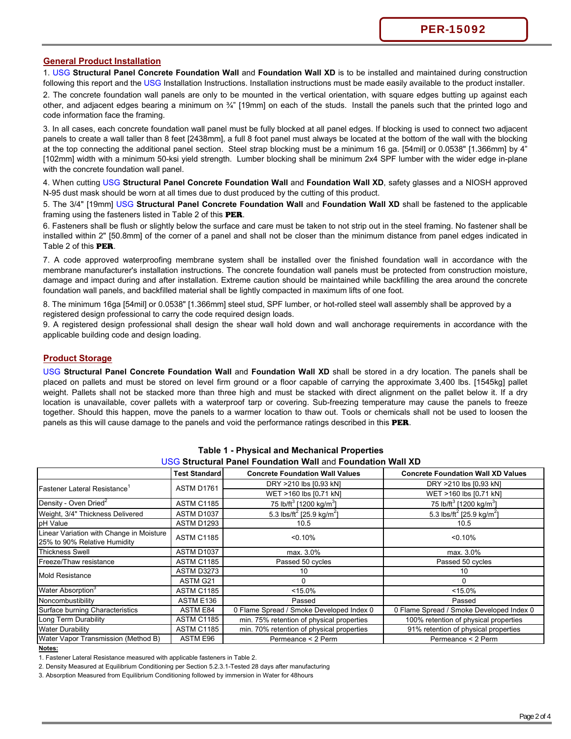#### **General Product Installation**

1. USG **Structural Panel Concrete Foundation Wall** and **Foundation Wall XD** is to be installed and maintained during construction following this report and the USG Installation Instructions. Installation instructions must be made easily available to the product installer.

2. The concrete foundation wall panels are only to be mounted in the vertical orientation, with square edges butting up against each other, and adjacent edges bearing a minimum on ¾" [19mm] on each of the studs. Install the panels such that the printed logo and code information face the framing.

3. In all cases, each concrete foundation wall panel must be fully blocked at all panel edges. If blocking is used to connect two adjacent panels to create a wall taller than 8 feet [2438mm], a full 8 foot panel must always be located at the bottom of the wall with the blocking at the top connecting the additional panel section. Steel strap blocking must be a minimum 16 ga. [54mil] or 0.0538" [1.366mm] by 4" [102mm] width with a minimum 50-ksi yield strength. Lumber blocking shall be minimum 2x4 SPF lumber with the wider edge in-plane with the concrete foundation wall panel.

4. When cutting USG **Structural Panel Concrete Foundation Wall** and **Foundation Wall XD**, safety glasses and a NIOSH approved N-95 dust mask should be worn at all times due to dust produced by the cutting of this product.

5. The 3/4" [19mm] USG **Structural Panel Concrete Foundation Wall** and **Foundation Wall XD** shall be fastened to the applicable framing using the fasteners listed in Table 2 of this **PER**.

6. Fasteners shall be flush or slightly below the surface and care must be taken to not strip out in the steel framing. No fastener shall be installed within 2" [50.8mm] of the corner of a panel and shall not be closer than the minimum distance from panel edges indicated in Table 2 of this PER.

7. A code approved waterproofing membrane system shall be installed over the finished foundation wall in accordance with the membrane manufacturer's installation instructions. The concrete foundation wall panels must be protected from construction moisture, damage and impact during and after installation. Extreme caution should be maintained while backfilling the area around the concrete foundation wall panels, and backfilled material shall be lightly compacted in maximum lifts of one foot.

8. The minimum 16ga [54mil] or 0.0538" [1.366mm] steel stud, SPF lumber, or hot-rolled steel wall assembly shall be approved by a registered design professional to carry the code required design loads.

9. A registered design professional shall design the shear wall hold down and wall anchorage requirements in accordance with the applicable building code and design loading.

#### **Product Storage**

USG **Structural Panel Concrete Foundation Wall** and **Foundation Wall XD** shall be stored in a dry location. The panels shall be placed on pallets and must be stored on level firm ground or a floor capable of carrying the approximate 3,400 lbs. [1545kg] pallet weight. Pallets shall not be stacked more than three high and must be stacked with direct alignment on the pallet below it. If a dry location is unavailable, cover pallets with a waterproof tarp or covering. Sub-freezing temperature may cause the panels to freeze together. Should this happen, move the panels to a warmer location to thaw out. Tools or chemicals shall not be used to loosen the panels as this will cause damage to the panels and void the performance ratings described in this PER.

|                                                                          | <b>Test Standard</b> | <b>Concrete Foundation Wall Values</b>            | <b>Concrete Foundation Wall XD Values</b>         |
|--------------------------------------------------------------------------|----------------------|---------------------------------------------------|---------------------------------------------------|
|                                                                          | ASTM D1761           | DRY >210 lbs [0.93 kN]                            | DRY >210 lbs [0.93 kN]                            |
| Fastener Lateral Resistance <sup>1</sup>                                 |                      | WET >160 lbs [0.71 kN]                            | WET >160 lbs [0.71 kN]                            |
| Density - Oven Dried <sup>2</sup>                                        | <b>ASTM C1185</b>    | 75 lb/ft <sup>3</sup> [1200 kg/m <sup>3</sup> ]   | 75 lb/ft <sup>3</sup> [1200 kg/m <sup>3</sup> ]   |
| Weight, 3/4" Thickness Delivered                                         | ASTM D1037           | 5.3 lbs/ft <sup>2</sup> [25.9 kg/m <sup>2</sup> ] | 5.3 lbs/ft <sup>2</sup> [25.9 kg/m <sup>2</sup> ] |
| pH Value                                                                 | ASTM D1293           | 10.5                                              | 10.5                                              |
| Linear Variation with Change in Moisture<br>25% to 90% Relative Humidity | <b>ASTM C1185</b>    | < 0.10%                                           | < 0.10%                                           |
| <b>Thickness Swell</b>                                                   | ASTM D1037           | max. 3.0%                                         | max. 3.0%                                         |
| Freeze/Thaw resistance                                                   | <b>ASTM C1185</b>    | Passed 50 cycles                                  | Passed 50 cycles                                  |
| <b>Mold Resistance</b>                                                   | ASTM D3273           | 10                                                | 10                                                |
|                                                                          | ASTM G21             |                                                   |                                                   |
| Water Absorption <sup>3</sup>                                            | <b>ASTM C1185</b>    | $< 15.0\%$                                        | $< 15.0\%$                                        |
| Noncombustibility                                                        | ASTM E136            | Passed                                            | Passed                                            |
| Surface burning Characteristics                                          | ASTM E84             | 0 Flame Spread / Smoke Developed Index 0          | 0 Flame Spread / Smoke Developed Index 0          |
| Long Term Durability                                                     | <b>ASTM C1185</b>    | min. 75% retention of physical properties         | 100% retention of physical properties             |
| <b>Water Durability</b>                                                  | <b>ASTM C1185</b>    | min. 70% retention of physical properties         | 91% retention of physical properties              |
| Water Vapor Transmission (Method B)                                      | <b>ASTM E96</b>      | Permeance < 2 Perm                                | Permeance < 2 Perm                                |

**Table 1 - Physical and Mechanical Properties** USG **Structural Panel Foundation Wall** and **Foundation Wall XD**

**Notes:**

1. Fastener Lateral Resistance measured with applicable fasteners in Table 2.

2. Density Measured at Equilibrium Conditioning per Section 5.2.3.1-Tested 28 days after manufacturing

3. Absorption Measured from Equilibrium Conditioning followed by immersion in Water for 48hours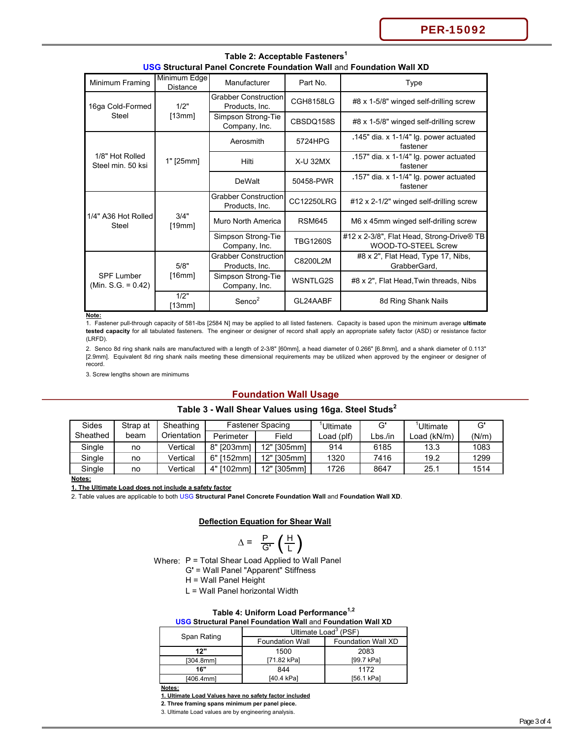PER-15092

| <u>039 Suuctural Pallei Collciele Poulluation Wall allu Poulluation Wall AD</u> |                                 |                                               |                   |                                                                  |  |  |
|---------------------------------------------------------------------------------|---------------------------------|-----------------------------------------------|-------------------|------------------------------------------------------------------|--|--|
| Minimum Framing                                                                 | Minimum Edge<br><b>Distance</b> | Manufacturer                                  | Part No.          | Type                                                             |  |  |
| 16ga Cold-Formed                                                                | 1/2"                            | <b>Grabber Construction</b><br>Products, Inc. | <b>CGH8158LG</b>  | #8 x 1-5/8" winged self-drilling screw                           |  |  |
| Steel                                                                           | [13mm]                          | Simpson Strong-Tie<br>Company, Inc.           | CBSDQ158S         | #8 x 1-5/8" winged self-drilling screw                           |  |  |
|                                                                                 |                                 | Aerosmith                                     | 5724HPG           | .145" dia. x 1-1/4" $lg.$ power actuated<br>fastener             |  |  |
| 1/8" Hot Rolled<br>Steel min. 50 ksi                                            | 1" [25mm]                       | Hilti                                         | <b>X-U 32MX</b>   | .157" dia. x 1-1/4" lg. power actuated<br>fastener               |  |  |
|                                                                                 |                                 | <b>DeWalt</b>                                 | 50458-PWR         | .157" dia. x 1-1/4" lg. power actuated<br>fastener               |  |  |
|                                                                                 | 3/4"<br>[19mm]                  | <b>Grabber Construction</b><br>Products, Inc. | <b>CC12250LRG</b> | #12 x 2-1/2" winged self-drilling screw                          |  |  |
| 1/4" A36 Hot Rolled<br>Steel                                                    |                                 | Muro North America                            | <b>RSM645</b>     | M6 x 45mm winged self-drilling screw                             |  |  |
|                                                                                 |                                 | Simpson Strong-Tie<br>Company, Inc.           | <b>TBG1260S</b>   | #12 x 2-3/8", Flat Head, Strong-Drive® TB<br>WOOD-TO-STEEL Screw |  |  |
|                                                                                 | 5/8"                            | <b>Grabber Construction</b><br>Products, Inc. | C8200L2M          | #8 x 2", Flat Head, Type 17, Nibs,<br>GrabberGard,               |  |  |
| <b>SPF Lumber</b><br>(Min. S.G. = $0.42$ )                                      | [16mm]                          | Simpson Strong-Tie<br>Company, Inc.           | WSNTLG2S          | #8 x 2", Flat Head, Twin threads, Nibs                           |  |  |
|                                                                                 | 1/2"<br>[13mm]                  | Senco <sup>2</sup>                            | GL24AABF          | 8d Ring Shank Nails                                              |  |  |

**Table 2: Acceptable Fasteners<sup>1</sup> USG Structural Panel Concrete Foundation Wall** and **Foundation Wall XD**

**Note:**

1. Fastener pull-through capacity of 581-lbs [2584 N] may be applied to all listed fasteners. Capacity is based upon the minimum average **ultimate tested capacity** for all tabulated fasteners. The engineer or designer of record shall apply an appropriate safety factor (ASD) or resistance factor (LRFD).

2. Senco 8d ring shank nails are manufactured with a length of 2-3/8" [60mm], a head diameter of 0.266" [6.8mm], and a shank diameter of 0.113" [2.9mm]. Equivalent 8d ring shank nails meeting these dimensional requirements may be utilized when approved by the engineer or designer of record.

3. Screw lengths shown are minimums

# **Foundation Wall Usage**

| Sides    | Strap at | Sheathing   | <b>Fastener Spacing</b> |             | Ultimate   | G'      | Ultimate     | G'    |
|----------|----------|-------------|-------------------------|-------------|------------|---------|--------------|-------|
| Sheathed | beam     | Orientation | Perimeter               | Field       | Load (plf) | Lbs./in | Load (kN/m). | (N/m) |
| Single   | no       | Vertical    | 8" [203mm]              | 12" [305mm] | 914        | 6185    | 13.3         | 1083  |
| Single   | no       | Vertical    | 6"<br>[152mm]           | 12" [305mm] | 1320       | 7416    | 19.2         | 1299  |
| Single   | no       | Vertical    | 4" [102mm]              | 12" [305mm] | 1726       | 8647    | 25.1         | 1514  |

# **Table 3 - Wall Shear Values using 16ga. Steel Studs<sup>2</sup>**

**Notes:**

**1. The Ultimate Load does not include a safety factor**

2. Table values are applicable to both USG **Structural Panel Concrete Foundation Wall** and **Foundation Wall XD**.

# **Deflection Equation for Shear Wall**

$$
\Delta = \frac{P}{G'} \left( \frac{H}{L} \right)
$$

Where: P = Total Shear Load Applied to Wall Panel

G**'** = Wall Panel "Apparent" Stiffness

H = Wall Panel Height

L = Wall Panel horizontal Width

# **Table 4: Uniform Load Performance1,2**

| <b>USG Structural Panel Foundation Wall and Foundation Wall XD</b> |  |  |  |
|--------------------------------------------------------------------|--|--|--|
|                                                                    |  |  |  |

| Span Rating | Ultimate Load <sup>3</sup> (PSF) |                           |  |  |
|-------------|----------------------------------|---------------------------|--|--|
|             | <b>Foundation Wall</b>           | <b>Foundation Wall XD</b> |  |  |
| 12"         | 1500<br>2083                     |                           |  |  |
| [304.8mm]   | [71.82 kPa]                      | [99.7 kPa]                |  |  |
| 16"         | 844<br>1172                      |                           |  |  |
| [406.4mm]   | [40.4 kPa]                       | [56.1 kPa]                |  |  |

I

**Notes:**

**1. Ultimate Load Values have no safety factor included**

**2. Three framing spans minimum per panel piece.**

3. Ultimate Load values are by engineering analysis.